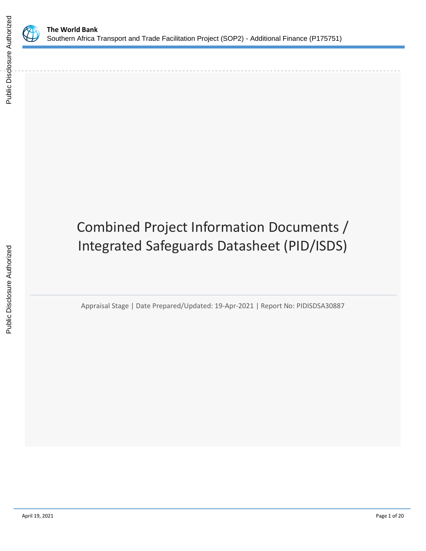

Public Disclosure Authorized

Public Disclosure Authorized

# Combined Project Information Documents / Integrated Safeguards Datasheet (PID/ISDS)

Appraisal Stage | Date Prepared/Updated: 19-Apr-2021 | Report No: PIDISDSA30887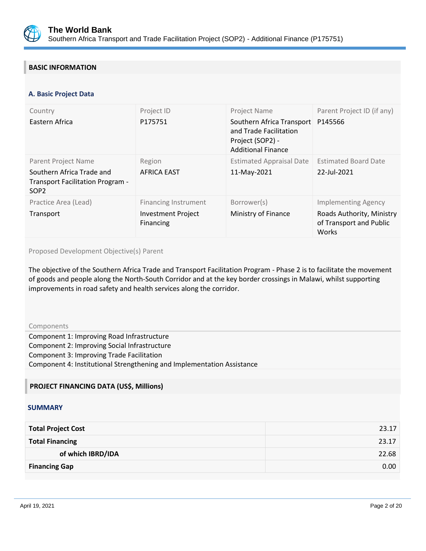

## **BASIC INFORMATION**

#### **OPS\_TABLE\_BASIC\_DATA A. Basic Project Data**

| Country<br>Eastern Africa                                                                                       | Project ID<br>P175751                                                 | Project Name<br>Southern Africa Transport<br>and Trade Facilitation<br>Project (SOP2) -<br><b>Additional Finance</b> | Parent Project ID (if any)<br>P145566                                                              |
|-----------------------------------------------------------------------------------------------------------------|-----------------------------------------------------------------------|----------------------------------------------------------------------------------------------------------------------|----------------------------------------------------------------------------------------------------|
| Parent Project Name<br>Southern Africa Trade and<br><b>Transport Facilitation Program -</b><br>SOP <sub>2</sub> | Region<br><b>AFRICA EAST</b>                                          | <b>Estimated Appraisal Date</b><br>11-May-2021                                                                       | <b>Estimated Board Date</b><br>22-Jul-2021                                                         |
| Practice Area (Lead)<br>Transport                                                                               | <b>Financing Instrument</b><br><b>Investment Project</b><br>Financing | Borrower(s)<br>Ministry of Finance                                                                                   | <b>Implementing Agency</b><br>Roads Authority, Ministry<br>of Transport and Public<br><b>Works</b> |

Proposed Development Objective(s) Parent

The objective of the Southern Africa Trade and Transport Facilitation Program - Phase 2 is to facilitate the movement of goods and people along the North-South Corridor and at the key border crossings in Malawi, whilst supporting improvements in road safety and health services along the corridor.

Components

Component 1: Improving Road Infrastructure Component 2: Improving Social Infrastructure Component 3: Improving Trade Facilitation Component 4: Institutional Strengthening and Implementation Assistance

## **PROJECT FINANCING DATA (US\$, Millions)**

### **SUMMARY**

| <b>Total Project Cost</b> | 23.17 |
|---------------------------|-------|
| <b>Total Financing</b>    | 23.17 |
| of which IBRD/IDA         | 22.68 |
| <b>Financing Gap</b>      | 0.00  |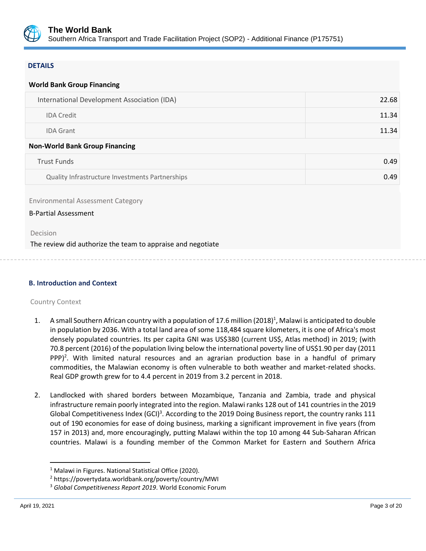

## **DETAILS**

| <b>World Bank Group Financing</b>                                       |       |
|-------------------------------------------------------------------------|-------|
| International Development Association (IDA)                             | 22.68 |
| <b>IDA Credit</b>                                                       | 11.34 |
| <b>IDA Grant</b>                                                        | 11.34 |
| <b>Non-World Bank Group Financing</b>                                   |       |
| <b>Trust Funds</b>                                                      | 0.49  |
| Quality Infrastructure Investments Partnerships                         | 0.49  |
| <b>Environmental Assessment Category</b><br><b>B-Partial Assessment</b> |       |
| Decision                                                                |       |
| The review did authorize the team to appraise and negotiate             |       |

### **B. Introduction and Context**

### Country Context

- 1. A small Southern African country with a population of 17.6 million (2018)<sup>1</sup>, Malawi is anticipated to double in population by 2036. With a total land area of some 118,484 square kilometers, it is one of Africa's most densely populated countries. Its per capita GNI was US\$380 (current US\$, Atlas method) in 2019; (with 70.8 percent (2016) of the population living below the international poverty line of US\$1.90 per day (2011 PPP $)^2$ . With limited natural resources and an agrarian production base in a handful of primary commodities, the Malawian economy is often vulnerable to both weather and market-related shocks. Real GDP growth grew for to 4.4 percent in 2019 from 3.2 percent in 2018.
- 2. Landlocked with shared borders between Mozambique, Tanzania and Zambia, trade and physical infrastructure remain poorly integrated into the region. Malawi ranks 128 out of 141 countries in the 2019 Global Competitiveness Index (GCI)<sup>3</sup>. According to the 2019 Doing Business report, the country ranks 111 out of 190 economies for ease of doing business, marking a significant improvement in five years (from 157 in 2013) and, more encouragingly, putting Malawi within the top 10 among 44 Sub-Saharan African countries. Malawi is a founding member of the Common Market for Eastern and Southern Africa

<sup>&</sup>lt;sup>1</sup> Malawi in Figures. National Statistical Office (2020).

<sup>2</sup> https://povertydata.worldbank.org/poverty/country/MWI

<sup>3</sup> *Global Competitiveness Report 2019*. World Economic Forum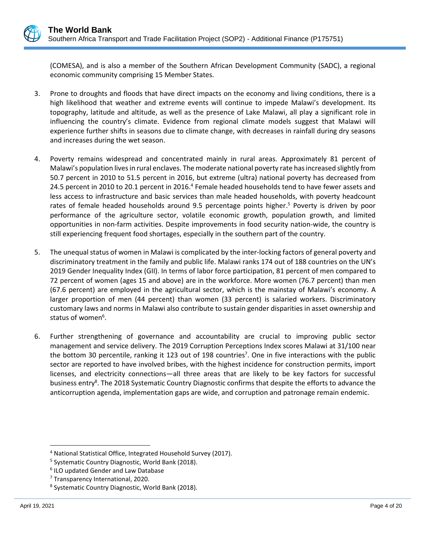(COMESA), and is also a member of the Southern African Development Community (SADC), a regional economic community comprising 15 Member States.

- 3. Prone to droughts and floods that have direct impacts on the economy and living conditions, there is a high likelihood that weather and extreme events will continue to impede Malawi's development. Its topography, latitude and altitude, as well as the presence of Lake Malawi, all play a significant role in influencing the country's climate. Evidence from regional climate models suggest that Malawi will experience further shifts in seasons due to climate change, with decreases in rainfall during dry seasons and increases during the wet season.
- 4. Poverty remains widespread and concentrated mainly in rural areas. Approximately 81 percent of Malawi's population lives in rural enclaves. The moderate national poverty rate has increased slightly from 50.7 percent in 2010 to 51.5 percent in 2016, but extreme (ultra) national poverty has decreased from 24.5 percent in 2010 to 20.1 percent in 2016.<sup>4</sup> Female headed households tend to have fewer assets and less access to infrastructure and basic services than male headed households, with poverty headcount rates of female headed households around 9.5 percentage points higher. <sup>5</sup> Poverty is driven by poor performance of the agriculture sector, volatile economic growth, population growth, and limited opportunities in non-farm activities. Despite improvements in food security nation-wide, the country is still experiencing frequent food shortages, especially in the southern part of the country.
- 5. The unequal status of women in Malawi is complicated by the inter-locking factors of general poverty and discriminatory treatment in the family and public life. Malawi ranks 174 out of 188 countries on the UN's 2019 Gender Inequality Index (GII). In terms of labor force participation, 81 percent of men compared to 72 percent of women (ages 15 and above) are in the workforce. More women (76.7 percent) than men (67.6 percent) are employed in the agricultural sector, which is the mainstay of Malawi's economy. A larger proportion of men (44 percent) than women (33 percent) is salaried workers. Discriminatory customary laws and norms in Malawi also contribute to sustain gender disparities in asset ownership and status of women<sup>6</sup>.
- 6. Further strengthening of governance and accountability are crucial to improving public sector management and service delivery. The 2019 Corruption Perceptions Index scores Malawi at 31/100 near the bottom 30 percentile, ranking it 123 out of 198 countries<sup>7</sup>. One in five interactions with the public sector are reported to have involved bribes, with the highest incidence for construction permits, import licenses, and electricity connections—all three areas that are likely to be key factors for successful business entry<sup>8</sup>. The 2018 Systematic Country Diagnostic confirms that despite the efforts to advance the anticorruption agenda, implementation gaps are wide, and corruption and patronage remain endemic.

<sup>4</sup> National Statistical Office, Integrated Household Survey (2017).

<sup>&</sup>lt;sup>5</sup> Systematic Country Diagnostic, World Bank (2018).

<sup>6</sup> ILO updated Gender and Law Database

<sup>&</sup>lt;sup>7</sup> Transparency International, 2020.

<sup>8</sup> Systematic Country Diagnostic, World Bank (2018).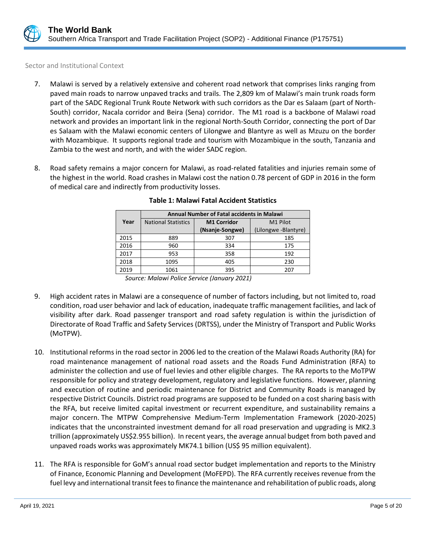

Sector and Institutional Context

- 7. Malawi is served by a relatively extensive and coherent road network that comprises links ranging from paved main roads to narrow unpaved tracks and trails. The 2,809 km of Malawi's main trunk roads form part of the SADC Regional Trunk Route Network with such corridors as the Dar es Salaam (part of North-South) corridor, Nacala corridor and Beira (Sena) corridor. The M1 road is a backbone of Malawi road network and provides an important link in the regional North-South Corridor, connecting the port of Dar es Salaam with the Malawi economic centers of Lilongwe and Blantyre as well as Mzuzu on the border with Mozambique. It supports regional trade and tourism with Mozambique in the south, Tanzania and Zambia to the west and north, and with the wider SADC region.
- 8. Road safety remains a major concern for Malawi, as road-related fatalities and injuries remain some of the highest in the world. Road crashes in Malawi cost the nation 0.78 percent of GDP in 2016 in the form of medical care and indirectly from productivity losses.

|      | <b>Annual Number of Fatal accidents in Malawi</b> |                    |                      |  |
|------|---------------------------------------------------|--------------------|----------------------|--|
| Year | <b>National Statistics</b>                        | <b>M1 Corridor</b> | M <sub>1</sub> Pilot |  |
|      |                                                   | (Nsanje-Songwe)    | (Lilongwe -Blantyre) |  |
| 2015 | 889                                               | 307                | 185                  |  |
| 2016 | 960                                               | 334                | 175                  |  |
| 2017 | 953                                               | 358                | 192                  |  |
| 2018 | 1095                                              | 405                | 230                  |  |
| 2019 | 1061                                              | 395                | 207                  |  |

## **Table 1: Malawi Fatal Accident Statistics**

*Source: Malawi Police Service (January 2021)*

- 9. High accident rates in Malawi are a consequence of number of factors including, but not limited to, road condition, road user behavior and lack of education, inadequate traffic management facilities, and lack of visibility after dark. Road passenger transport and road safety regulation is within the jurisdiction of Directorate of Road Traffic and Safety Services (DRTSS), under the Ministry of Transport and Public Works (MoTPW).
- 10. Institutional reforms in the road sector in 2006 led to the creation of the Malawi Roads Authority (RA) for road maintenance management of national road assets and the Roads Fund Administration (RFA) to administer the collection and use of fuel levies and other eligible charges. The RA reports to the MoTPW responsible for policy and strategy development, regulatory and legislative functions. However, planning and execution of routine and periodic maintenance for District and Community Roads is managed by respective District Councils. District road programs are supposed to be funded on a cost sharing basis with the RFA, but receive limited capital investment or recurrent expenditure, and sustainability remains a major concern. The MTPW Comprehensive Medium-Term Implementation Framework (2020-2025) indicates that the unconstrainted investment demand for all road preservation and upgrading is MK2.3 trillion (approximately US\$2.955 billion). In recent years, the average annual budget from both paved and unpaved roads works was approximately MK74.1 billion (US\$ 95 million equivalent).
- 11. The RFA is responsible for GoM's annual road sector budget implementation and reports to the Ministry of Finance, Economic Planning and Development (MoFEPD). The RFA currently receives revenue from the fuel levy and international transit fees to finance the maintenance and rehabilitation of public roads, along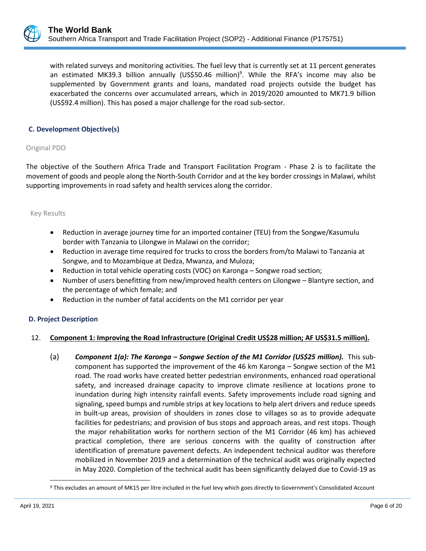

with related surveys and monitoring activities. The fuel levy that is currently set at 11 percent generates an estimated MK39.3 billion annually (US\$50.46 million)<sup>9</sup>. While the RFA's income may also be supplemented by Government grants and loans, mandated road projects outside the budget has exacerbated the concerns over accumulated arrears, which in 2019/2020 amounted to MK71.9 billion (US\$92.4 million). This has posed a major challenge for the road sub-sector.

## **C. Development Objective(s)**

Original PDO

The objective of the Southern Africa Trade and Transport Facilitation Program - Phase 2 is to facilitate the movement of goods and people along the North-South Corridor and at the key border crossings in Malawi, whilst supporting improvements in road safety and health services along the corridor.

#### Key Results

- Reduction in average journey time for an imported container (TEU) from the Songwe/Kasumulu border with Tanzania to Lilongwe in Malawi on the corridor;
- Reduction in average time required for trucks to cross the borders from/to Malawi to Tanzania at Songwe, and to Mozambique at Dedza, Mwanza, and Muloza;
- Reduction in total vehicle operating costs (VOC) on Karonga Songwe road section;
- Number of users benefitting from new/improved health centers on Lilongwe Blantyre section, and the percentage of which female; and
- Reduction in the number of fatal accidents on the M1 corridor per year

### **D. Project Description**

### 12. **Component 1: Improving the Road Infrastructure (Original Credit US\$28 million; AF US\$31.5 million).**

(a) *Component 1(a): The Karonga – Songwe Section of the M1 Corridor (US\$25 million).* This subcomponent has supported the improvement of the 46 km Karonga – Songwe section of the M1 road. The road works have created better pedestrian environments, enhanced road operational safety, and increased drainage capacity to improve climate resilience at locations prone to inundation during high intensity rainfall events. Safety improvements include road signing and signaling, speed bumps and rumble strips at key locations to help alert drivers and reduce speeds in built-up areas, provision of shoulders in zones close to villages so as to provide adequate facilities for pedestrians; and provision of bus stops and approach areas, and rest stops. Though the major rehabilitation works for northern section of the M1 Corridor (46 km) has achieved practical completion, there are serious concerns with the quality of construction after identification of premature pavement defects. An independent technical auditor was therefore mobilized in November 2019 and a determination of the technical audit was originally expected in May 2020. Completion of the technical audit has been significantly delayed due to Covid-19 as

<sup>&</sup>lt;sup>9</sup> This excludes an amount of MK15 per litre included in the fuel levy which goes directly to Government's Consolidated Account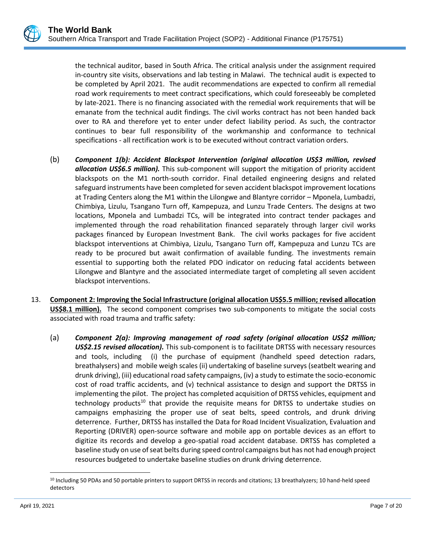

the technical auditor, based in South Africa. The critical analysis under the assignment required in-country site visits, observations and lab testing in Malawi. The technical audit is expected to be completed by April 2021. The audit recommendations are expected to confirm all remedial road work requirements to meet contract specifications, which could foreseeably be completed by late-2021. There is no financing associated with the remedial work requirements that will be emanate from the technical audit findings. The civil works contract has not been handed back over to RA and therefore yet to enter under defect liability period. As such, the contractor continues to bear full responsibility of the workmanship and conformance to technical specifications - all rectification work is to be executed without contract variation orders.

- (b) *Component 1(b): Accident Blackspot Intervention (original allocation US\$3 million, revised allocation US\$6.5 million).* This sub-component will support the mitigation of priority accident blackspots on the M1 north-south corridor. Final detailed engineering designs and related safeguard instruments have been completed for seven accident blackspot improvement locations at Trading Centers along the M1 within the Lilongwe and Blantyre corridor – Mponela, Lumbadzi, Chimbiya, Lizulu, Tsangano Turn off, Kampepuza, and Lunzu Trade Centers. The designs at two locations, Mponela and Lumbadzi TCs, will be integrated into contract tender packages and implemented through the road rehabilitation financed separately through larger civil works packages financed by European Investment Bank. The civil works packages for five accident blackspot interventions at Chimbiya, Lizulu, Tsangano Turn off, Kampepuza and Lunzu TCs are ready to be procured but await confirmation of available funding. The investments remain essential to supporting both the related PDO indicator on reducing fatal accidents between Lilongwe and Blantyre and the associated intermediate target of completing all seven accident blackspot interventions.
- 13. **Component 2: Improving the Social Infrastructure (original allocation US\$5.5 million; revised allocation US\$8.1 million).** The second component comprises two sub-components to mitigate the social costs associated with road trauma and traffic safety:
	- (a) *Component 2(a): Improving management of road safety (original allocation US\$2 million; US\$2.15 revised allocation).* This sub-component is to facilitate DRTSS with necessary resources and tools, including (i) the purchase of equipment (handheld speed detection radars, breathalysers) and mobile weigh scales (ii) undertaking of baseline surveys (seatbelt wearing and drunk driving), (iii) educational road safety campaigns, (iv) a study to estimate the socio-economic cost of road traffic accidents, and (v) technical assistance to design and support the DRTSS in implementing the pilot. The project has completed acquisition of DRTSS vehicles, equipment and technology products<sup>10</sup> that provide the requisite means for DRTSS to undertake studies on campaigns emphasizing the proper use of seat belts, speed controls, and drunk driving deterrence. Further, DRTSS has installed the Data for Road Incident Visualization, Evaluation and Reporting (DRIVER) open-source software and mobile app on portable devices as an effort to digitize its records and develop a geo-spatial road accident database. DRTSS has completed a baseline study on use of seat belts during speed control campaigns but has not had enough project resources budgeted to undertake baseline studies on drunk driving deterrence.

<sup>&</sup>lt;sup>10</sup> Including 50 PDAs and 50 portable printers to support DRTSS in records and citations; 13 breathalyzers; 10 hand-held speed detectors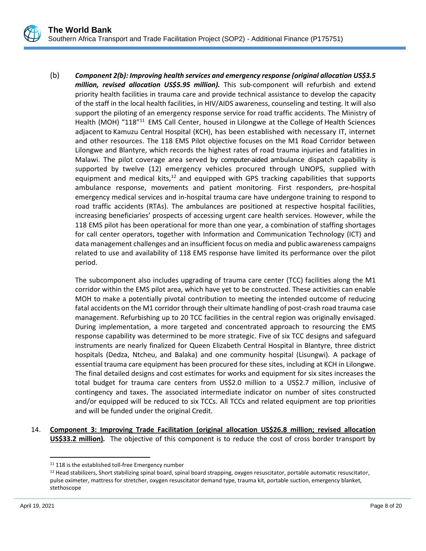

(b) *Component 2(b): Improving health services and emergency response (original allocation US\$3.5 million, revised allocation US\$5.95 million).* This sub-component will refurbish and extend priority health facilities in trauma care and provide technical assistance to develop the capacity of the staff in the local health facilities, in HIV/AIDS awareness, counseling and testing. It will also support the piloting of an emergency response service for road traffic accidents. The Ministry of Health (MOH) "118"<sup>11</sup> EMS Call Center, housed in Lilongwe at the College of Health Sciences adjacent to Kamuzu Central Hospital (KCH), has been established with necessary IT, internet and other resources. The 118 EMS Pilot objective focuses on the M1 Road Corridor between Lilongwe and Blantyre, which records the highest rates of road trauma injuries and fatalities in Malawi. The pilot coverage area served by computer-aided ambulance dispatch capability is supported by twelve (12) emergency vehicles procured through UNOPS, supplied with equipment and medical kits, $12$  and equipped with GPS tracking capabilities that supports ambulance response, movements and patient monitoring. First responders, pre-hospital emergency medical services and in-hospital trauma care have undergone training to respond to road traffic accidents (RTAs). The ambulances are positioned at respective hospital facilities, increasing beneficiaries' prospects of accessing urgent care health services. However, while the 118 EMS pilot has been operational for more than one year, a combination of staffing shortages for call center operators, together with Information and Communication Technology (ICT) and data management challenges and an insufficient focus on media and public awareness campaigns related to use and availability of 118 EMS response have limited its performance over the pilot period.

The subcomponent also includes upgrading of trauma care center (TCC) facilities along the M1 corridor within the EMS pilot area, which have yet to be constructed. These activities can enable MOH to make a potentially pivotal contribution to meeting the intended outcome of reducing fatal accidents on the M1 corridor through their ultimate handling of post-crash road trauma case management. Refurbishing up to 20 TCC facilities in the central region was originally envisaged. During implementation, a more targeted and concentrated approach to resourcing the EMS response capability was determined to be more strategic. Five of six TCC designs and safeguard instruments are nearly finalized for Queen Elizabeth Central Hospital in Blantyre, three district hospitals (Dedza, Ntcheu, and Balaka) and one community hospital (Lisungwi). A package of essential trauma care equipment has been procured for these sites, including at KCH in Lilongwe. The final detailed designs and cost estimates for works and equipment for six sites increases the total budget for trauma care centers from US\$2.0 million to a US\$2.7 million, inclusive of contingency and taxes. The associated intermediate indicator on number of sites constructed and/or equipped will be reduced to six TCCs. All TCCs and related equipment are top priorities and will be funded under the original Credit.

14. **Component 3: Improving Trade Facilitation (original allocation US\$26.8 million; revised allocation US\$33.2 million)***.* The objective of this component is to reduce the cost of cross border transport by

<sup>&</sup>lt;sup>11</sup> 118 is the established toll-free Emergency number

<sup>12</sup> Head stabilizers, Short stabilizing spinal board, spinal board strapping, oxygen resuscitator, portable automatic resuscitator, pulse oximeter, mattress for stretcher, oxygen resuscitator demand type, trauma kit, portable suction, emergency blanket, stethoscope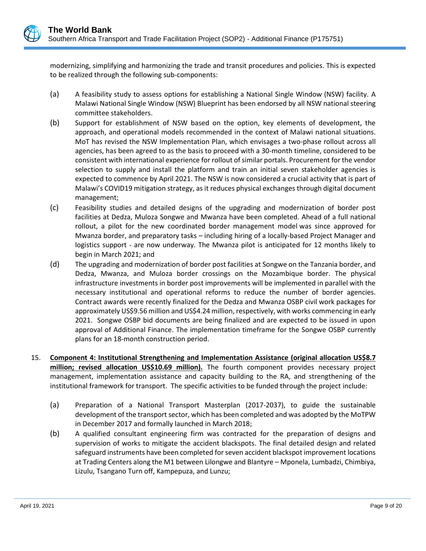modernizing, simplifying and harmonizing the trade and transit procedures and policies. This is expected to be realized through the following sub-components:

- (a) A feasibility study to assess options for establishing a National Single Window (NSW) facility. A Malawi National Single Window (NSW) Blueprint has been endorsed by all NSW national steering committee stakeholders.
- (b) Support for establishment of NSW based on the option, key elements of development, the approach, and operational models recommended in the context of Malawi national situations. MoT has revised the NSW Implementation Plan, which envisages a two-phase rollout across all agencies, has been agreed to as the basis to proceed with a 30-month timeline, considered to be consistent with international experience for rollout of similar portals. Procurement for the vendor selection to supply and install the platform and train an initial seven stakeholder agencies is expected to commence by April 2021. The NSW is now considered a crucial activity that is part of Malawi's COVID19 mitigation strategy, as it reduces physical exchanges through digital document management;
- (c) Feasibility studies and detailed designs of the upgrading and modernization of border post facilities at Dedza, Muloza Songwe and Mwanza have been completed. Ahead of a full national rollout, a pilot for the new coordinated border management model was since approved for Mwanza border, and preparatory tasks – including hiring of a locally-based Project Manager and logistics support - are now underway. The Mwanza pilot is anticipated for 12 months likely to begin in March 2021; and
- (d) The upgrading and modernization of border post facilities at Songwe on the Tanzania border, and Dedza, Mwanza, and Muloza border crossings on the Mozambique border. The physical infrastructure investments in border post improvements will be implemented in parallel with the necessary institutional and operational reforms to reduce the number of border agencies. Contract awards were recently finalized for the Dedza and Mwanza OSBP civil work packages for approximately US\$9.56 million and US\$4.24 million, respectively, with works commencing in early 2021. Songwe OSBP bid documents are being finalized and are expected to be issued in upon approval of Additional Finance. The implementation timeframe for the Songwe OSBP currently plans for an 18-month construction period.
- 15. **Component 4: Institutional Strengthening and Implementation Assistance (original allocation US\$8.7 million; revised allocation US\$10.69 million).** The fourth component provides necessary project management, implementation assistance and capacity building to the RA, and strengthening of the institutional framework for transport. The specific activities to be funded through the project include:
	- (a) Preparation of a National Transport Masterplan (2017-2037), to guide the sustainable development of the transport sector, which has been completed and was adopted by the MoTPW in December 2017 and formally launched in March 2018;
	- (b) A qualified consultant engineering firm was contracted for the preparation of designs and supervision of works to mitigate the accident blackspots. The final detailed design and related safeguard instruments have been completed for seven accident blackspot improvement locations at Trading Centers along the M1 between Lilongwe and Blantyre – Mponela, Lumbadzi, Chimbiya, Lizulu, Tsangano Turn off, Kampepuza, and Lunzu;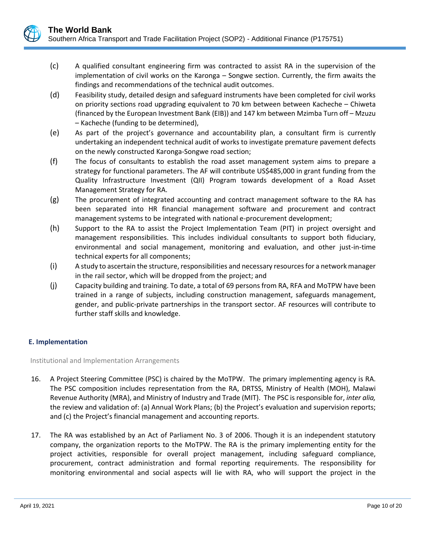

- (d) Feasibility study, detailed design and safeguard instruments have been completed for civil works on priority sections road upgrading equivalent to 70 km between between Kacheche – Chiweta (financed by the European Investment Bank (EIB)) and 147 km between Mzimba Turn off – Mzuzu – Kacheche (funding to be determined),
- (e) As part of the project's governance and accountability plan, a consultant firm is currently undertaking an independent technical audit of works to investigate premature pavement defects on the newly constructed Karonga-Songwe road section;
- (f) The focus of consultants to establish the road asset management system aims to prepare a strategy for functional parameters. The AF will contribute US\$485,000 in grant funding from the Quality Infrastructure Investment (QII) Program towards development of a Road Asset Management Strategy for RA.
- (g) The procurement of integrated accounting and contract management software to the RA has been separated into HR financial management software and procurement and contract management systems to be integrated with national e-procurement development;
- (h) Support to the RA to assist the Project Implementation Team (PIT) in project oversight and management responsibilities. This includes individual consultants to support both fiduciary, environmental and social management, monitoring and evaluation, and other just-in-time technical experts for all components;
- (i) A study to ascertain the structure, responsibilities and necessary resources for a network manager in the rail sector, which will be dropped from the project; and
- (j) Capacity building and training. To date, a total of 69 persons from RA, RFA and MoTPW have been trained in a range of subjects, including construction management, safeguards management, gender, and public-private partnerships in the transport sector. AF resources will contribute to further staff skills and knowledge.

## **E. Implementation**

Institutional and Implementation Arrangements

- 16. A Project Steering Committee (PSC) is chaired by the MoTPW. The primary implementing agency is RA. The PSC composition includes representation from the RA, DRTSS, Ministry of Health (MOH), Malawi Revenue Authority (MRA), and Ministry of Industry and Trade (MIT). The PSC is responsible for, *inter alia,*  the review and validation of: (a) Annual Work Plans; (b) the Project's evaluation and supervision reports; and (c) the Project's financial management and accounting reports.
- 17. The RA was established by an Act of Parliament No. 3 of 2006. Though it is an independent statutory company, the organization reports to the MoTPW. The RA is the primary implementing entity for the project activities, responsible for overall project management, including safeguard compliance, procurement, contract administration and formal reporting requirements. The responsibility for monitoring environmental and social aspects will lie with RA, who will support the project in the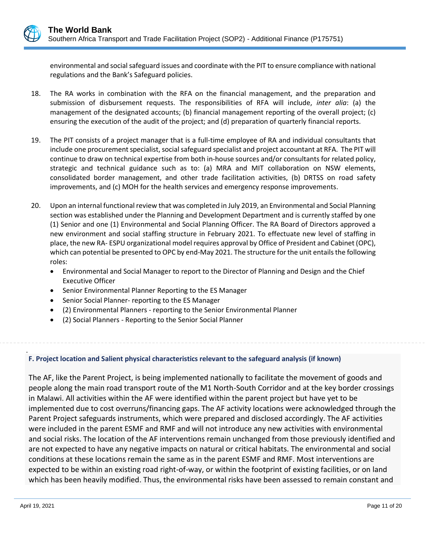environmental and social safeguard issues and coordinate with the PIT to ensure compliance with national regulations and the Bank's Safeguard policies.

- 18. The RA works in combination with the RFA on the financial management, and the preparation and submission of disbursement requests. The responsibilities of RFA will include, *inter alia*: (a) the management of the designated accounts; (b) financial management reporting of the overall project; (c) ensuring the execution of the audit of the project; and (d) preparation of quarterly financial reports.
- 19. The PIT consists of a project manager that is a full-time employee of RA and individual consultants that include one procurement specialist, social safeguard specialist and project accountant at RFA. The PIT will continue to draw on technical expertise from both in-house sources and/or consultants for related policy, strategic and technical guidance such as to: (a) MRA and MIT collaboration on NSW elements, consolidated border management, and other trade facilitation activities, (b) DRTSS on road safety improvements, and (c) MOH for the health services and emergency response improvements.
- 20. Upon an internal functional review that was completed in July 2019, an Environmental and Social Planning section was established under the Planning and Development Department and is currently staffed by one (1) Senior and one (1) Environmental and Social Planning Officer. The RA Board of Directors approved a new environment and social staffing structure in February 2021. To effectuate new level of staffing in place, the new RA- ESPU organizational model requires approval by Office of President and Cabinet (OPC), which can potential be presented to OPC by end-May 2021. The structure for the unit entails the following roles:
	- Environmental and Social Manager to report to the Director of Planning and Design and the Chief Executive Officer
	- Senior Environmental Planner Reporting to the ES Manager
	- Senior Social Planner- reporting to the ES Manager
	- (2) Environmental Planners reporting to the Senior Environmental Planner
	- (2) Social Planners Reporting to the Senior Social Planner

### . **F. Project location and Salient physical characteristics relevant to the safeguard analysis (if known)**

The AF, like the Parent Project, is being implemented nationally to facilitate the movement of goods and people along the main road transport route of the M1 North-South Corridor and at the key border crossings in Malawi. All activities within the AF were identified within the parent project but have yet to be implemented due to cost overruns/financing gaps. The AF activity locations were acknowledged through the Parent Project safeguards instruments, which were prepared and disclosed accordingly. The AF activities were included in the parent ESMF and RMF and will not introduce any new activities with environmental and social risks. The location of the AF interventions remain unchanged from those previously identified and are not expected to have any negative impacts on natural or critical habitats. The environmental and social conditions at these locations remain the same as in the parent ESMF and RMF. Most interventions are expected to be within an existing road right-of-way, or within the footprint of existing facilities, or on land which has been heavily modified. Thus, the environmental risks have been assessed to remain constant and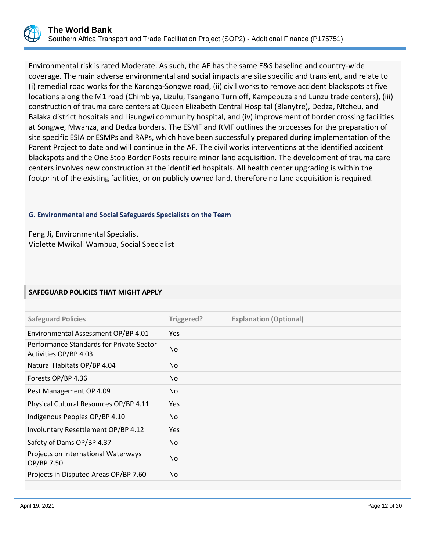Environmental risk is rated Moderate. As such, the AF has the same E&S baseline and country-wide coverage. The main adverse environmental and social impacts are site specific and transient, and relate to (i) remedial road works for the Karonga-Songwe road, (ii) civil works to remove accident blackspots at five locations along the M1 road (Chimbiya, Lizulu, Tsangano Turn off, Kampepuza and Lunzu trade centers), (iii) construction of trauma care centers at Queen Elizabeth Central Hospital (Blanytre), Dedza, Ntcheu, and Balaka district hospitals and Lisungwi community hospital, and (iv) improvement of border crossing facilities at Songwe, Mwanza, and Dedza borders. The ESMF and RMF outlines the processes for the preparation of site specific ESIA or ESMPs and RAPs, which have been successfully prepared during implementation of the Parent Project to date and will continue in the AF. The civil works interventions at the identified accident blackspots and the One Stop Border Posts require minor land acquisition. The development of trauma care centers involves new construction at the identified hospitals. All health center upgrading is within the footprint of the existing facilities, or on publicly owned land, therefore no land acquisition is required.

## **G. Environmental and Social Safeguards Specialists on the Team**

Feng Ji, Environmental Specialist Violette Mwikali Wambua, Social Specialist

## **SAFEGUARD POLICIES THAT MIGHT APPLY**

| <b>Safeguard Policies</b>                                         | Triggered? | <b>Explanation (Optional)</b> |
|-------------------------------------------------------------------|------------|-------------------------------|
| Environmental Assessment OP/BP 4.01                               | Yes.       |                               |
| Performance Standards for Private Sector<br>Activities OP/BP 4.03 | No.        |                               |
| Natural Habitats OP/BP 4.04                                       | No.        |                               |
| Forests OP/BP 4.36                                                | No.        |                               |
| Pest Management OP 4.09                                           | No.        |                               |
| Physical Cultural Resources OP/BP 4.11                            | Yes        |                               |
| Indigenous Peoples OP/BP 4.10                                     | No.        |                               |
| Involuntary Resettlement OP/BP 4.12                               | Yes        |                               |
| Safety of Dams OP/BP 4.37                                         | No.        |                               |
| Projects on International Waterways<br>OP/BP 7.50                 | No.        |                               |
| Projects in Disputed Areas OP/BP 7.60                             | No.        |                               |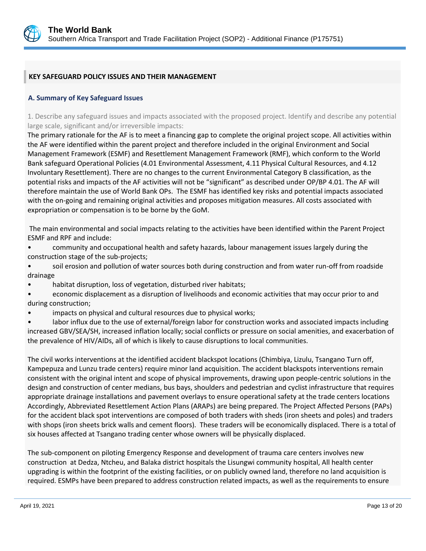

## **KEY SAFEGUARD POLICY ISSUES AND THEIR MANAGEMENT**

## **A. Summary of Key Safeguard Issues**

1. Describe any safeguard issues and impacts associated with the proposed project. Identify and describe any potential large scale, significant and/or irreversible impacts:

The primary rationale for the AF is to meet a financing gap to complete the original project scope. All activities within the AF were identified within the parent project and therefore included in the original Environment and Social Management Framework (ESMF) and Resettlement Management Framework (RMF), which conform to the World Bank safeguard Operational Policies (4.01 Environmental Assessment, 4.11 Physical Cultural Resources, and 4.12 Involuntary Resettlement). There are no changes to the current Environmental Category B classification, as the potential risks and impacts of the AF activities will not be "significant" as described under OP/BP 4.01. The AF will therefore maintain the use of World Bank OPs. The ESMF has identified key risks and potential impacts associated with the on-going and remaining original activities and proposes mitigation measures. All costs associated with expropriation or compensation is to be borne by the GoM.

The main environmental and social impacts relating to the activities have been identified within the Parent Project ESMF and RPF and include:

- community and occupational health and safety hazards, labour management issues largely during the construction stage of the sub-projects;
- soil erosion and pollution of water sources both during construction and from water run-off from roadside drainage
- habitat disruption, loss of vegetation, disturbed river habitats;
- economic displacement as a disruption of livelihoods and economic activities that may occur prior to and during construction;
- impacts on physical and cultural resources due to physical works;

• labor influx due to the use of external/foreign labor for construction works and associated impacts including increased GBV/SEA/SH, increased inflation locally; social conflicts or pressure on social amenities, and exacerbation of the prevalence of HIV/AIDs, all of which is likely to cause disruptions to local communities.

The civil works interventions at the identified accident blackspot locations (Chimbiya, Lizulu, Tsangano Turn off, Kampepuza and Lunzu trade centers) require minor land acquisition. The accident blackspots interventions remain consistent with the original intent and scope of physical improvements, drawing upon people-centric solutions in the design and construction of center medians, bus bays, shoulders and pedestrian and cyclist infrastructure that requires appropriate drainage installations and pavement overlays to ensure operational safety at the trade centers locations Accordingly, Abbreviated Resettlement Action Plans (ARAPs) are being prepared. The Project Affected Persons (PAPs) for the accident black spot interventions are composed of both traders with sheds (iron sheets and poles) and traders with shops (iron sheets brick walls and cement floors). These traders will be economically displaced. There is a total of six houses affected at Tsangano trading center whose owners will be physically displaced.

The sub-component on piloting Emergency Response and development of trauma care centers involves new construction at Dedza, Ntcheu, and Balaka district hospitals the Lisungwi community hospital, All health center upgrading is within the footprint of the existing facilities, or on publicly owned land, therefore no land acquisition is required. ESMPs have been prepared to address construction related impacts, as well as the requirements to ensure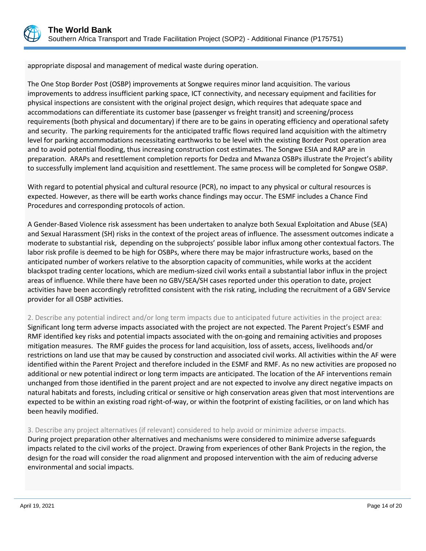

appropriate disposal and management of medical waste during operation.

The One Stop Border Post (OSBP) improvements at Songwe requires minor land acquisition. The various improvements to address insufficient parking space, ICT connectivity, and necessary equipment and facilities for physical inspections are consistent with the original project design, which requires that adequate space and accommodations can differentiate its customer base (passenger vs freight transit) and screening/process requirements (both physical and documentary) if there are to be gains in operating efficiency and operational safety and security. The parking requirements for the anticipated traffic flows required land acquisition with the altimetry level for parking accommodations necessitating earthworks to be level with the existing Border Post operation area and to avoid potential flooding, thus increasing construction cost estimates. The Songwe ESIA and RAP are in preparation. ARAPs and resettlement completion reports for Dedza and Mwanza OSBPs illustrate the Project's ability to successfully implement land acquisition and resettlement. The same process will be completed for Songwe OSBP.

With regard to potential physical and cultural resource (PCR), no impact to any physical or cultural resources is expected. However, as there will be earth works chance findings may occur. The ESMF includes a Chance Find Procedures and corresponding protocols of action.

A Gender-Based Violence risk assessment has been undertaken to analyze both Sexual Exploitation and Abuse (SEA) and Sexual Harassment (SH) risks in the context of the project areas of influence. The assessment outcomes indicate a moderate to substantial risk, depending on the subprojects' possible labor influx among other contextual factors. The labor risk profile is deemed to be high for OSBPs, where there may be major infrastructure works, based on the anticipated number of workers relative to the absorption capacity of communities, while works at the accident blackspot trading center locations, which are medium-sized civil works entail a substantial labor influx in the project areas of influence. While there have been no GBV/SEA/SH cases reported under this operation to date, project activities have been accordingly retrofitted consistent with the risk rating, including the recruitment of a GBV Service provider for all OSBP activities.

## 2. Describe any potential indirect and/or long term impacts due to anticipated future activities in the project area:

Significant long term adverse impacts associated with the project are not expected. The Parent Project's ESMF and RMF identified key risks and potential impacts associated with the on-going and remaining activities and proposes mitigation measures. The RMF guides the process for land acquisition, loss of assets, access, livelihoods and/or restrictions on land use that may be caused by construction and associated civil works. All activities within the AF were identified within the Parent Project and therefore included in the ESMF and RMF. As no new activities are proposed no additional or new potential indirect or long term impacts are anticipated. The location of the AF interventions remain unchanged from those identified in the parent project and are not expected to involve any direct negative impacts on natural habitats and forests, including critical or sensitive or high conservation areas given that most interventions are expected to be within an existing road right-of-way, or within the footprint of existing facilities, or on land which has been heavily modified.

### 3. Describe any project alternatives (if relevant) considered to help avoid or minimize adverse impacts.

During project preparation other alternatives and mechanisms were considered to minimize adverse safeguards impacts related to the civil works of the project. Drawing from experiences of other Bank Projects in the region, the design for the road will consider the road alignment and proposed intervention with the aim of reducing adverse environmental and social impacts.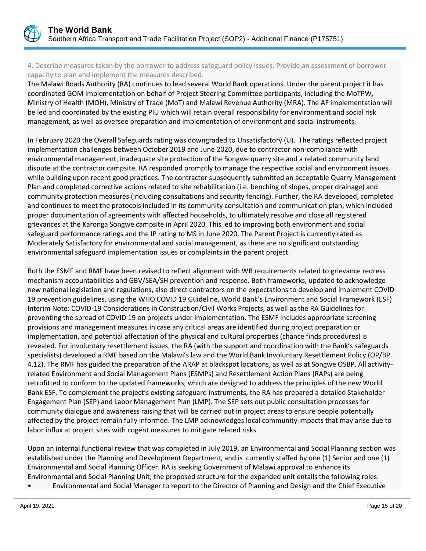

4. Describe measures taken by the borrower to address safeguard policy issues. Provide an assessment of borrower capacity to plan and implement the measures described.

The Malawi Roads Authority (RA) continues to lead several World Bank operations. Under the parent project it has coordinated GOM implementation on behalf of Project Steering Committee participants, including the MoTPW, Ministry of Health (MOH), Ministry of Trade (MoT) and Malawi Revenue Authority (MRA). The AF implementation will be led and coordinated by the existing PIU which will retain overall responsibility for environment and social risk management, as well as oversee preparation and implementation of environment and social instruments.

In February 2020 the Overall Safeguards rating was downgraded to Unsatisfactory (U). The ratings reflected project implementation challenges between October 2019 and June 2020, due to contractor non-compliance with environmental management, inadequate site protection of the Songwe quarry site and a related community land dispute at the contractor campsite. RA responded promptly to manage the respective social and environment issues while building upon recent good practices. The contractor subsequently submitted an acceptable Quarry Management Plan and completed corrective actions related to site rehabilitation (i.e. benching of slopes, proper drainage) and community protection measures (including consultations and security fencing). Further, the RA developed, completed and continues to meet the protocols included in its community consultation and communication plan, which included proper documentation of agreements with affected households, to ultimately resolve and close all registered grievances at the Karonga Songwe campsite in April 2020. This led to improving both environment and social safeguard performance ratings and the IP rating to MS in June 2020. The Parent Project is currently rated as Moderately Satisfactory for environmental and social management, as there are no significant outstanding environmental safeguard implementation issues or complaints in the parent project.

Both the ESMF and RMF have been revised to reflect alignment with WB requirements related to grievance redress mechanism accountabilities and GBV/SEA/SH prevention and response. Both frameworks, updated to acknowledge new national legislation and regulations, also direct contractors on the expectations to develop and implement COVID 19 prevention guidelines, using the WHO COVID 19 Guideline, World Bank's Environment and Social Framework (ESF) Interim Note: COVID-19 Considerations in Construction/Civil Works Projects, as well as the RA Guidelines for preventing the spread of COVID 19 on projects under implementation. The ESMF includes appropriate screening provisions and management measures in case any critical areas are identified during project preparation or implementation, and potential affectation of the physical and cultural properties (chance finds procedures) is revealed. For involuntary resettlement issues, the RA (with the support and coordination with the Bank's safeguards specialists) developed a RMF based on the Malawi's law and the World Bank Involuntary Resettlement Policy (OP/BP 4.12). The RMF has guided the preparation of the ARAP at blackspot locations, as well as at Songwe OSBP. All activityrelated Environment and Social Management Plans (ESMPs) and Resettlement Action Plans (RAPs) are being retrofitted to conform to the updated frameworks, which are designed to address the principles of the new World Bank ESF. To complement the project's existing safeguard instruments, the RA has prepared a detailed Stakeholder Engagement Plan (SEP) and Labor Management Plan (LMP). The SEP sets out public consultation processes for community dialogue and awareness raising that will be carried out in project areas to ensure people potentially affected by the project remain fully informed. The LMP acknowledges local community impacts that may arise due to labor influx at project sites with cogent measures to mitigate related risks.

Upon an internal functional review that was completed in July 2019, an Environmental and Social Planning section was established under the Planning and Development Department, and is currently staffed by one (1) Senior and one (1) Environmental and Social Planning Officer. RA is seeking Government of Malawi approval to enhance its Environmental and Social Planning Unit; the proposed structure for the expanded unit entails the following roles:

• Environmental and Social Manager to report to the Director of Planning and Design and the Chief Executive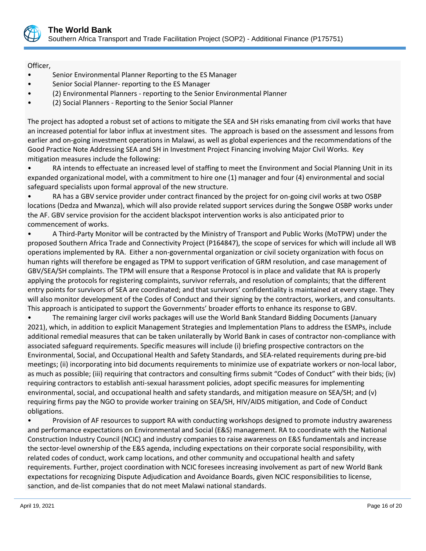

Officer,

- Senior Environmental Planner Reporting to the ES Manager
- Senior Social Planner- reporting to the ES Manager
- (2) Environmental Planners reporting to the Senior Environmental Planner
- (2) Social Planners Reporting to the Senior Social Planner

The project has adopted a robust set of actions to mitigate the SEA and SH risks emanating from civil works that have an increased potential for labor influx at investment sites. The approach is based on the assessment and lessons from earlier and on-going investment operations in Malawi, as well as global experiences and the recommendations of the Good Practice Note Addressing SEA and SH in Investment Project Financing involving Major Civil Works. Key mitigation measures include the following:

• RA intends to effectuate an increased level of staffing to meet the Environment and Social Planning Unit in its expanded organizational model, with a commitment to hire one (1) manager and four (4) environmental and social safeguard specialists upon formal approval of the new structure.

• RA has a GBV service provider under contract financed by the project for on-going civil works at two OSBP locations (Dedza and Mwanza), which will also provide related support services during the Songwe OSBP works under the AF. GBV service provision for the accident blackspot intervention works is also anticipated prior to commencement of works.

• A Third-Party Monitor will be contracted by the Ministry of Transport and Public Works (MoTPW) under the proposed Southern Africa Trade and Connectivity Project (P164847), the scope of services for which will include all WB operations implemented by RA. Either a non-governmental organization or civil society organization with focus on human rights will therefore be engaged as TPM to support verification of GRM resolution, and case management of GBV/SEA/SH complaints. The TPM will ensure that a Response Protocol is in place and validate that RA is properly applying the protocols for registering complaints, survivor referrals, and resolution of complaints; that the different entry points for survivors of SEA are coordinated; and that survivors' confidentiality is maintained at every stage. They will also monitor development of the Codes of Conduct and their signing by the contractors, workers, and consultants. This approach is anticipated to support the Governments' broader efforts to enhance its response to GBV.

• The remaining larger civil works packages will use the World Bank Standard Bidding Documents (January 2021), which, in addition to explicit Management Strategies and Implementation Plans to address the ESMPs, include additional remedial measures that can be taken unilaterally by World Bank in cases of contractor non-compliance with associated safeguard requirements. Specific measures will include (i) briefing prospective contractors on the Environmental, Social, and Occupational Health and Safety Standards, and SEA-related requirements during pre-bid meetings; (ii) incorporating into bid documents requirements to minimize use of expatriate workers or non-local labor, as much as possible; (iii) requiring that contractors and consulting firms submit "Codes of Conduct" with their bids; (iv) requiring contractors to establish anti-sexual harassment policies, adopt specific measures for implementing environmental, social, and occupational health and safety standards, and mitigation measure on SEA/SH; and (v) requiring firms pay the NGO to provide worker training on SEA/SH, HIV/AIDS mitigation, and Code of Conduct obligations.

• Provision of AF resources to support RA with conducting workshops designed to promote industry awareness and performance expectations on Environmental and Social (E&S) management. RA to coordinate with the National Construction Industry Council (NCIC) and industry companies to raise awareness on E&S fundamentals and increase the sector-level ownership of the E&S agenda, including expectations on their corporate social responsibility, with related codes of conduct, work camp locations, and other community and occupational health and safety requirements. Further, project coordination with NCIC foresees increasing involvement as part of new World Bank expectations for recognizing Dispute Adjudication and Avoidance Boards, given NCIC responsibilities to license, sanction, and de-list companies that do not meet Malawi national standards.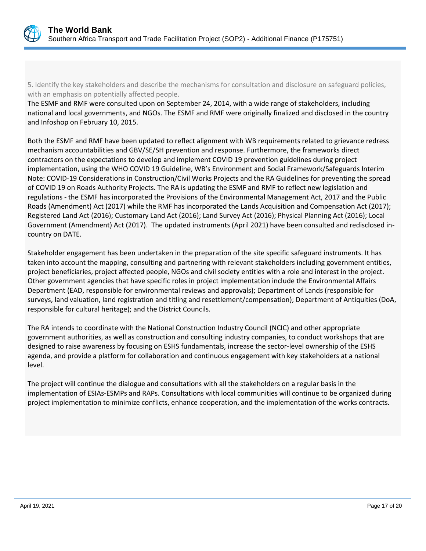

5. Identify the key stakeholders and describe the mechanisms for consultation and disclosure on safeguard policies, with an emphasis on potentially affected people.

The ESMF and RMF were consulted upon on September 24, 2014, with a wide range of stakeholders, including national and local governments, and NGOs. The ESMF and RMF were originally finalized and disclosed in the country and Infoshop on February 10, 2015.

Both the ESMF and RMF have been updated to reflect alignment with WB requirements related to grievance redress mechanism accountabilities and GBV/SE/SH prevention and response. Furthermore, the frameworks direct contractors on the expectations to develop and implement COVID 19 prevention guidelines during project implementation, using the WHO COVID 19 Guideline, WB's Environment and Social Framework/Safeguards Interim Note: COVID-19 Considerations in Construction/Civil Works Projects and the RA Guidelines for preventing the spread of COVID 19 on Roads Authority Projects. The RA is updating the ESMF and RMF to reflect new legislation and regulations - the ESMF has incorporated the Provisions of the Environmental Management Act, 2017 and the Public Roads (Amendment) Act (2017) while the RMF has incorporated the Lands Acquisition and Compensation Act (2017); Registered Land Act (2016); Customary Land Act (2016); Land Survey Act (2016); Physical Planning Act (2016); Local Government (Amendment) Act (2017). The updated instruments (April 2021) have been consulted and redisclosed incountry on DATE.

Stakeholder engagement has been undertaken in the preparation of the site specific safeguard instruments. It has taken into account the mapping, consulting and partnering with relevant stakeholders including government entities, project beneficiaries, project affected people, NGOs and civil society entities with a role and interest in the project. Other government agencies that have specific roles in project implementation include the Environmental Affairs Department (EAD, responsible for environmental reviews and approvals); Department of Lands (responsible for surveys, land valuation, land registration and titling and resettlement/compensation); Department of Antiquities (DoA, responsible for cultural heritage); and the District Councils.

The RA intends to coordinate with the National Construction Industry Council (NCIC) and other appropriate government authorities, as well as construction and consulting industry companies, to conduct workshops that are designed to raise awareness by focusing on ESHS fundamentals, increase the sector-level ownership of the ESHS agenda, and provide a platform for collaboration and continuous engagement with key stakeholders at a national level.

The project will continue the dialogue and consultations with all the stakeholders on a regular basis in the implementation of ESIAs-ESMPs and RAPs. Consultations with local communities will continue to be organized during project implementation to minimize conflicts, enhance cooperation, and the implementation of the works contracts.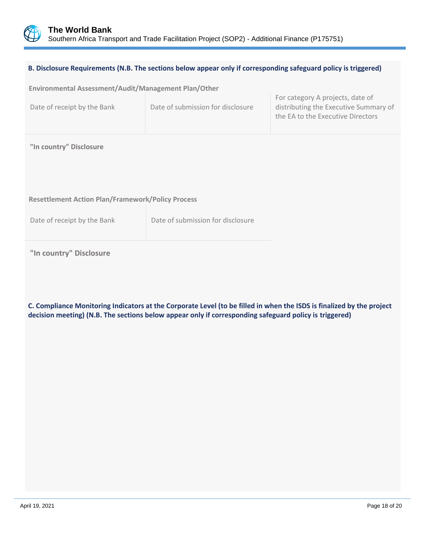

| B. Disclosure Requirements (N.B. The sections below appear only if corresponding safeguard policy is triggered) |                                   |                                                                                                                |  |
|-----------------------------------------------------------------------------------------------------------------|-----------------------------------|----------------------------------------------------------------------------------------------------------------|--|
| Environmental Assessment/Audit/Management Plan/Other                                                            |                                   |                                                                                                                |  |
| Date of receipt by the Bank                                                                                     | Date of submission for disclosure | For category A projects, date of<br>distributing the Executive Summary of<br>the EA to the Executive Directors |  |
| "In country" Disclosure                                                                                         |                                   |                                                                                                                |  |
|                                                                                                                 |                                   |                                                                                                                |  |
| <b>Resettlement Action Plan/Framework/Policy Process</b>                                                        |                                   |                                                                                                                |  |
| Date of receipt by the Bank                                                                                     | Date of submission for disclosure |                                                                                                                |  |
|                                                                                                                 |                                   |                                                                                                                |  |

# **"In country" Disclosure**

**C. Compliance Monitoring Indicators at the Corporate Level (to be filled in when the ISDS is finalized by the project decision meeting) (N.B. The sections below appear only if corresponding safeguard policy is triggered)**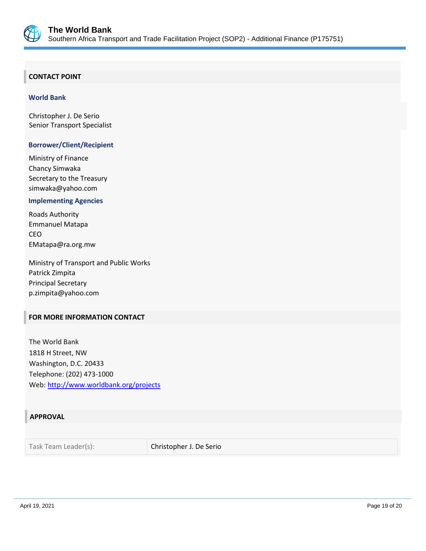

## **CONTACT POINT**

#### **World Bank**

Christopher J. De Serio Senior Transport Specialist

## **Borrower/Client/Recipient**

Ministry of Finance Chancy Simwaka Secretary to the Treasury simwaka@yahoo.com

#### **Implementing Agencies**

Roads Authority Emmanuel Matapa CEO EMatapa@ra.org.mw

Ministry of Transport and Public Works Patrick Zimpita Principal Secretary p.zimpita@yahoo.com

## **FOR MORE INFORMATION CONTACT**

The World Bank 1818 H Street, NW Washington, D.C. 20433 Telephone: (202) 473-1000 Web:<http://www.worldbank.org/projects>

## **APPROVAL**

Task Team Leader(s): Christopher J. De Serio